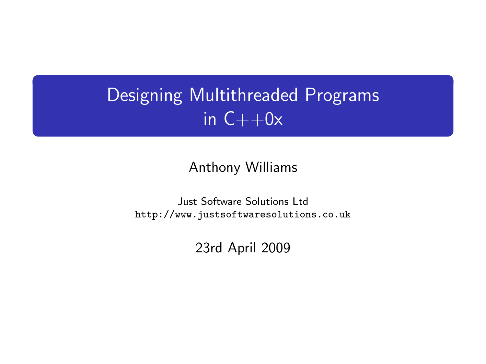# Designing Multithreaded Programs in  $C++0x$

#### Anthony Williams

<span id="page-0-0"></span>Just Software Solutions Ltd <http://www.justsoftwaresolutions.co.uk>

23rd April 2009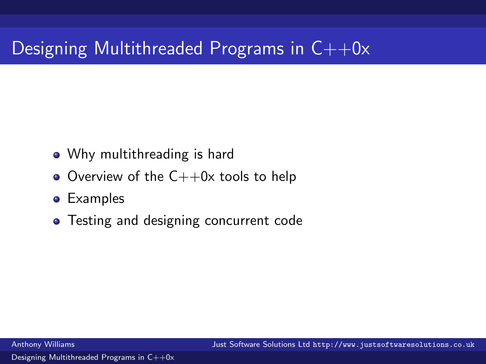# Designing Multithreaded Programs in  $C++0x$

- Why multithreading is hard
- Overview of the  $C++0x$  tools to help
- **•** Examples
- Testing and designing concurrent code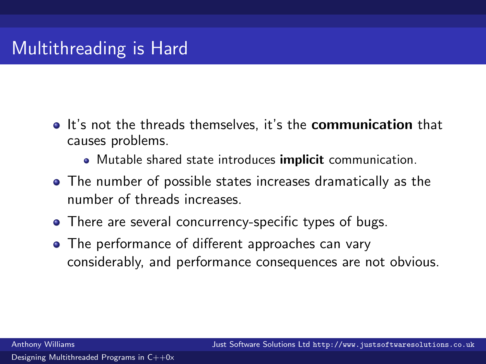- It's not the threads themselves, it's the **communication** that causes problems.
	- Mutable shared state introduces **implicit** communication.
- The number of possible states increases dramatically as the number of threads increases.
- There are several concurrency-specific types of bugs.
- The performance of different approaches can vary considerably, and performance consequences are not obvious.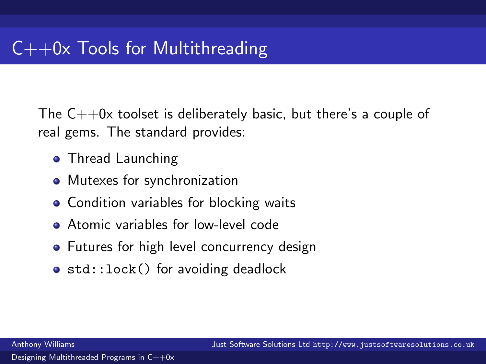The  $C++0x$  toolset is deliberately basic, but there's a couple of real gems. The standard provides:

- **Thread Launching**
- Mutexes for synchronization
- Condition variables for blocking waits
- **•** Atomic variables for low-level code
- Futures for high level concurrency design
- std::lock() for avoiding deadlock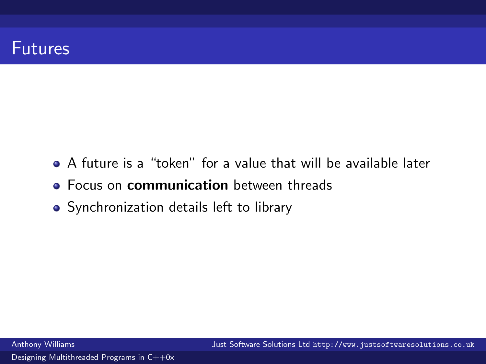#### Futures

- A future is a "token" for a value that will be available later
- **Focus on communication** between threads
- Synchronization details left to library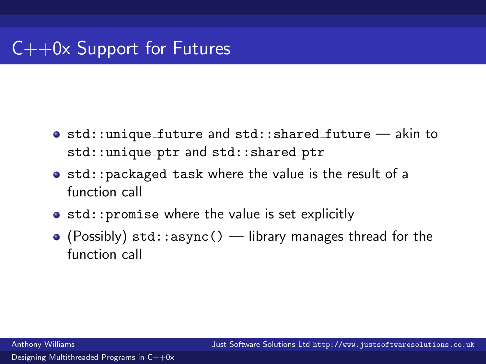# $C++0x$  Support for Futures

- o std::unique future and std::shared future akin to std::unique\_ptr and std::shared\_ptr
- $\bullet$  std::packaged\_task where the value is the result of a function call
- $\bullet$  std:: promise where the value is set explicitly
- $\bullet$  (Possibly) std::async() library manages thread for the function call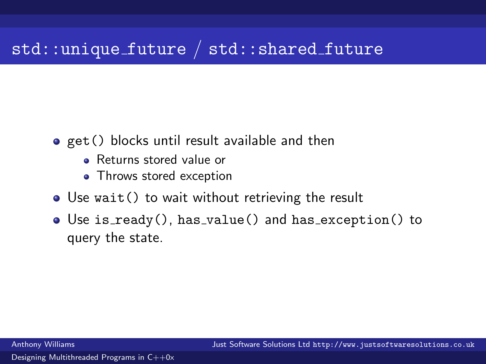### std::unique\_future / std::shared\_future

- get() blocks until result available and then
	- **B** Returns stored value or
	- Throws stored exception
- Use wait() to wait without retrieving the result
- Use is ready(), has value() and has exception() to query the state.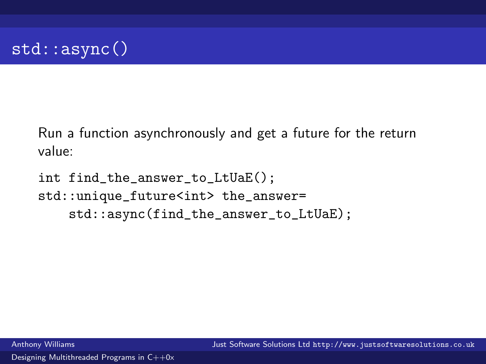

Run a function asynchronously and get a future for the return value:

int find\_the\_answer\_to\_LtUaE(); std::unique\_future<int> the\_answer= std::async(find\_the\_answer\_to\_LtUaE);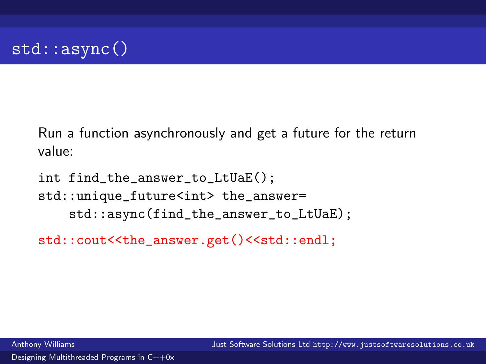

Run a function asynchronously and get a future for the return value:

int find\_the\_answer\_to\_LtUaE(); std::unique\_future<int> the\_answer= std::async(find\_the\_answer\_to\_LtUaE);

std::cout<<the\_answer.get()<<std::endl;

Anthony Williams Just Software Solutions Ltd <http://www.justsoftwaresolutions.co.uk>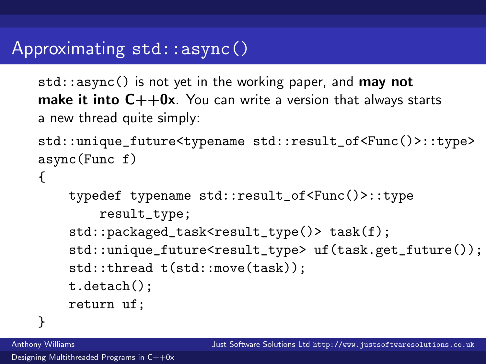#### Approximating std::async()

 $std::async()$  is not yet in the working paper, and **may not make it into**  $C++0x$ . You can write a version that always starts a new thread quite simply:

```
std::unique_future<typename std::result_of<Func()>::type>
async(Func f)
{
```

```
typedef typename std::result_of<Func()>::type
    result_type;
std::packaged_task<result_type()> task(f);
std::unique_future<result_type> uf(task.get_future());
std::thread t(std::move(task));
t.detach();
return uf;
```
}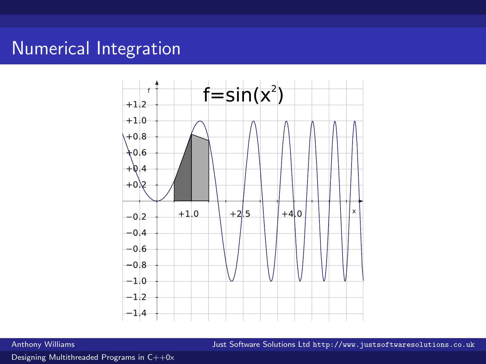### Numerical Integration



Anthony Williams Just Software Solutions Ltd <http://www.justsoftwaresolutions.co.uk>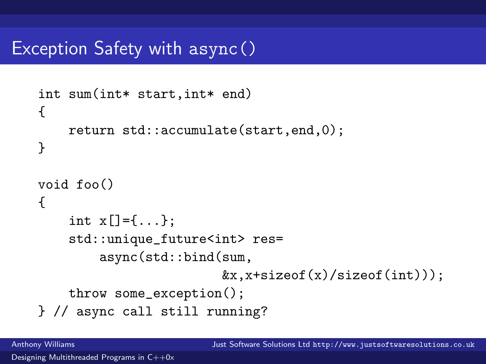#### Exception Safety with async()

```
int sum(int* start,int* end)
{
    return std::accumulate(start,end,0);
}
void foo()
{
    int x[]=\{.\cdot.\cdot\}:
    std::unique_future<int> res=
        async(std::bind(sum,
                          &x, x + size of(x) / size of(int)));
    throw some_exception();
} // async call still running?
```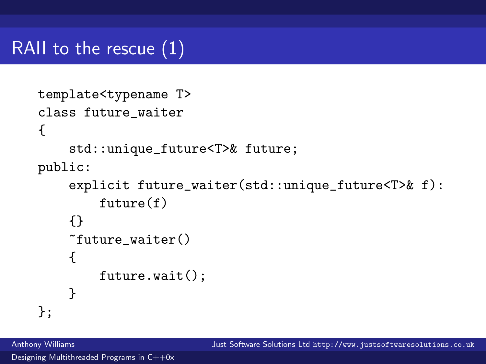# RAII to the rescue (1)

```
template<typename T>
class future_waiter
{
    std::unique_future<T>& future;
public:
    explicit future_waiter(std::unique_future<T>& f):
        future(f)
    {}
    ~future_waiter()
    {
        future.wait();
    }
};
```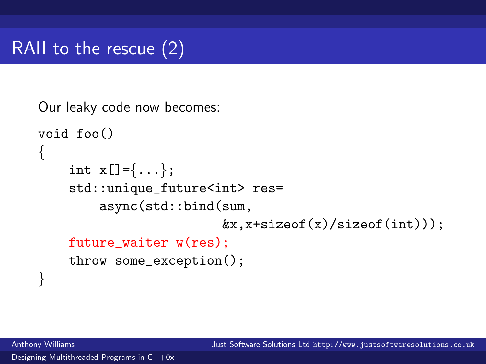

```
Our leaky code now becomes:
void foo()
{
    int x[] = \{ \ldots \};std::unique_future<int> res=
         async(std::bind(sum,
                           &x, x + size of(x) / size of(int));
    future_waiter w(res);
    throw some_exception();
}
```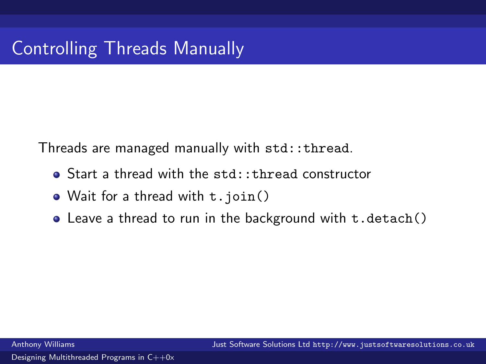Threads are managed manually with std::thread.

- Start a thread with the std::thread constructor
- Wait for a thread with t.join()
- Leave a thread to run in the background with t.detach()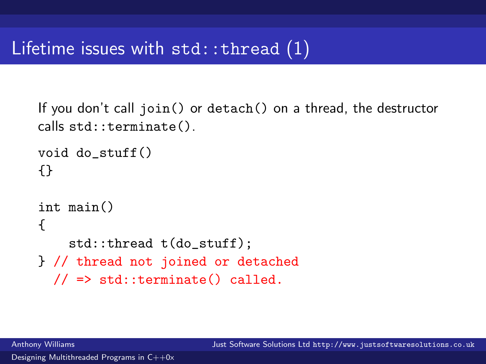```
If you don't call join() or detach() on a thread, the destructor
calls std::terminate().
```

```
void do_stuff()
{}
int main()
{
    std::thread t(do_stuff);
} // thread not joined or detached
  // => std::terminate() called.
```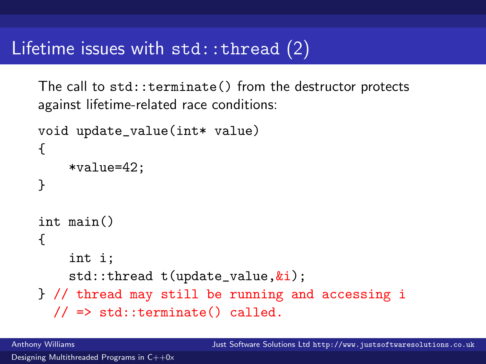#### Lifetime issues with  $std::thread(2)$

The call to std::terminate() from the destructor protects against lifetime-related race conditions:

```
void update_value(int* value)
{
    *value=42;
}
int main()
{
    int i;
    std::thread t(update_value,&i);
} // thread may still be running and accessing i
  \frac{1}{2} => std::terminate() called.
```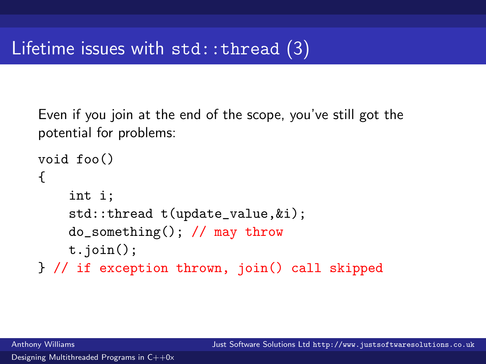Even if you join at the end of the scope, you've still got the potential for problems:

```
void foo()
{
    int i;
    std::thread t(update_value,&i);
    do_something(); // may throw
    t.join();
} // if exception thrown, join() call skipped
```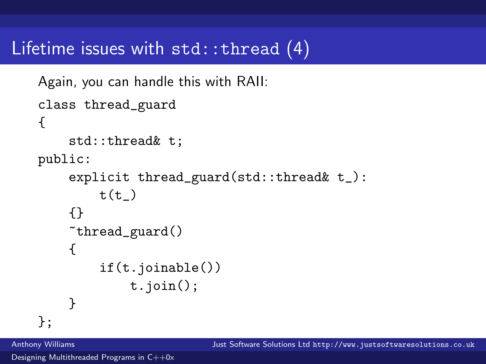#### Lifetime issues with std::thread (4)

```
Again, you can handle this with RAII:
class thread_guard
{
    std::thread& t;
public:
    explicit thread_guard(std::thread& t_):
        t(t){}
    ~thread_guard()
    {
        if(t.joinable())
             t.join();
    }
```
};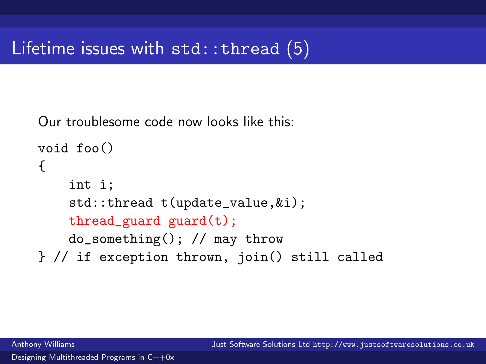Our troublesome code now looks like this:

```
void foo()
{
    int i;
    std::thread t(update_value,&i);
    thread_guard guard(t);
    do_something(); // may throw
} // if exception thrown, join() still called
```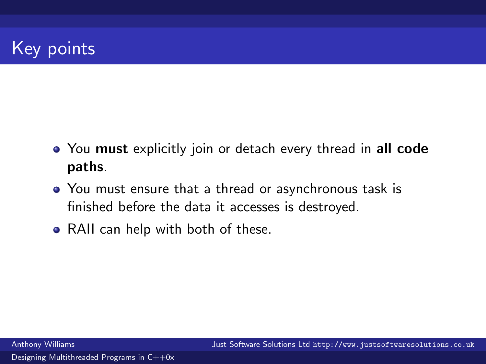# Key points

- You must explicitly join or detach every thread in all code paths.
- You must ensure that a thread or asynchronous task is finished before the data it accesses is destroyed.
- RAII can help with both of these.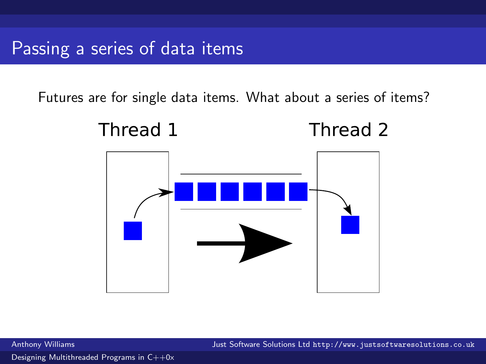Futures are for single data items. What about a series of items?



Anthony Williams Just Software Solutions Ltd <http://www.justsoftwaresolutions.co.uk>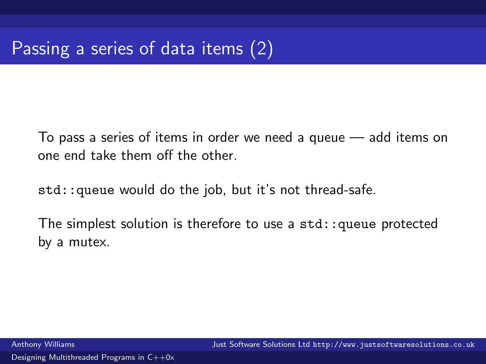To pass a series of items in order we need a queue — add items on one end take them off the other.

std::queue would do the job, but it's not thread-safe.

The simplest solution is therefore to use a  $std:$ :queue protected by a mutex.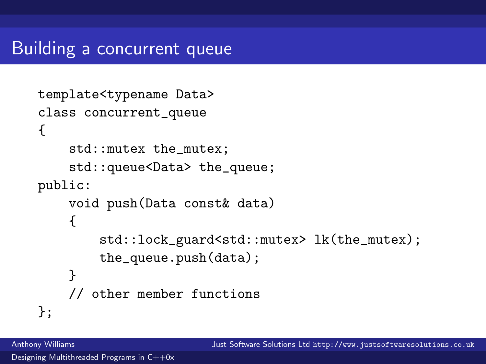### Building a concurrent queue

```
template<typename Data>
class concurrent_queue
{
    std::mutex the_mutex;
    std::queue<Data> the_queue;
public:
    void push(Data const& data)
    {
        std::lock_guard<std::mutex> lk(the_mutex);
        the_queue.push(data);
    }
    // other member functions
};
```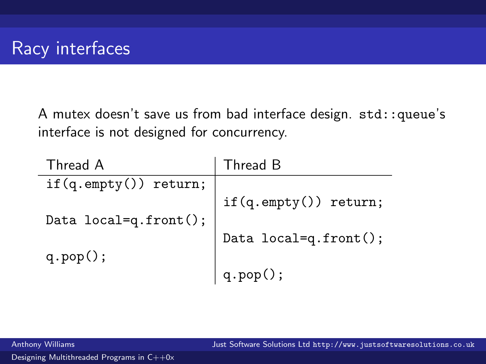A mutex doesn't save us from bad interface design. std::queue's interface is not designed for concurrency.

| Thread A                | Thread B                        |
|-------------------------|---------------------------------|
| $if(q.empty())$ return; |                                 |
|                         | $if(q.\mathsf{empty}))$ return; |
| Data local=q.front();   |                                 |
|                         | Data local=q.front();           |
| $q.pop()$ ;             |                                 |
|                         | $q.pop()$ ;                     |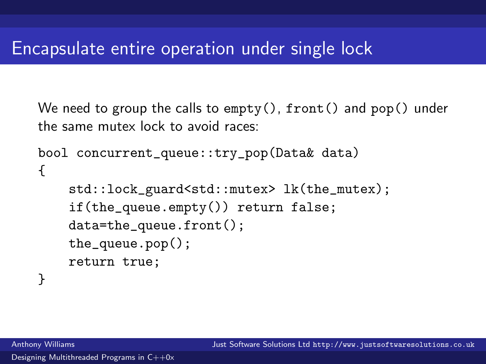We need to group the calls to  $empty()$ , front() and pop() under the same mutex lock to avoid races:

```
bool concurrent_queue::try_pop(Data& data)
\left\{ \right.std::lock_guard<std::mutex> lk(the_mutex);
    if(the_queue.empty()) return false;
    data=the_queue.front();
    the_queue.pop();
    return true;
}
```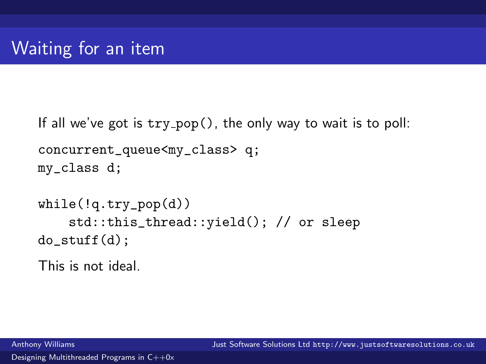```
If all we've got is try\_pop(), the only way to wait is to poll:
concurrent_queue<my_class> q;
my_class d;
while(!q.try_pop(d))
    std::this_thread::yield(); // or sleep
do_stuff(d);
```
This is not ideal.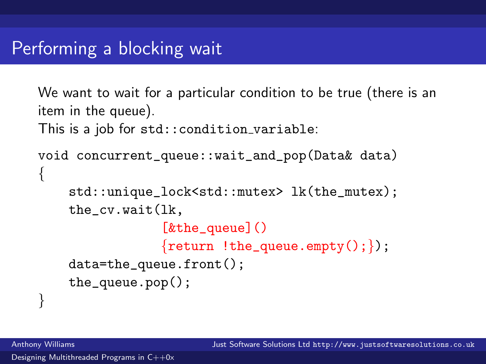```
We want to wait for a particular condition to be true (there is an
item in the queue).
This is a job for std::condition variable:
void concurrent_queue::wait_and_pop(Data& data)
{
    std::unique_lock<std::mutex> lk(the_mutex);
    the_cv.wait(lk,
                  [&the_queue]()
                  \{return \; !the_queue . empty(); \};
    data=the_queue.front();
    the_queue.pop();
}
```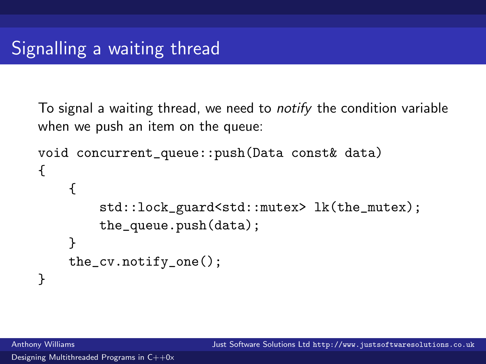To signal a waiting thread, we need to notify the condition variable when we push an item on the queue:

```
void concurrent_queue::push(Data const& data)
{
    {
        std::lock_guard<std::mutex> lk(the_mutex);
        the_queue.push(data);
    }
    the_cv.notify_one();
}
```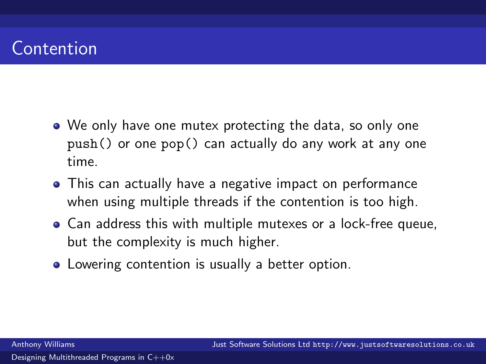# Contention

- We only have one mutex protecting the data, so only one push() or one pop() can actually do any work at any one time.
- This can actually have a negative impact on performance when using multiple threads if the contention is too high.
- Can address this with multiple mutexes or a lock-free queue, but the complexity is much higher.
- **•** Lowering contention is usually a better option.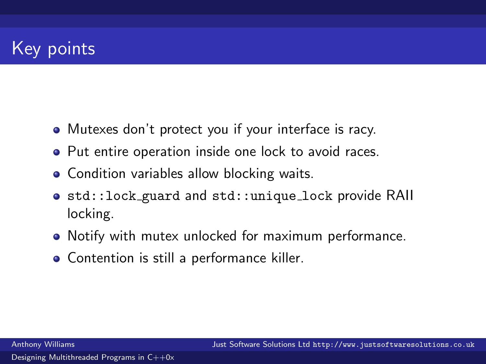# Key points

- Mutexes don't protect you if your interface is racy.
- Put entire operation inside one lock to avoid races.
- Condition variables allow blocking waits.
- **•** std::lock\_guard and std::unique\_lock provide RAII locking.
- Notify with mutex unlocked for maximum performance.
- Contention is still a performance killer.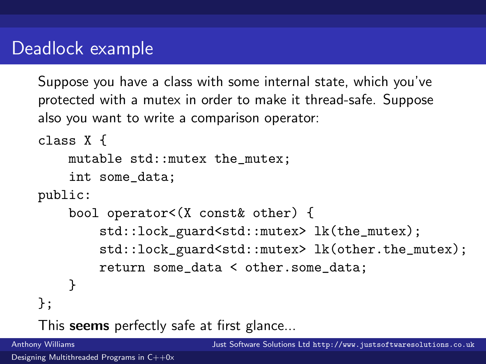### Deadlock example

Suppose you have a class with some internal state, which you've protected with a mutex in order to make it thread-safe. Suppose also you want to write a comparison operator:

```
class X {
    mutable std::mutex the_mutex;
    int some_data;
public:
    bool operator<(X const& other) {
        std::lock_guard<std::mutex> lk(the_mutex);
        std::lock_guard<std::mutex> lk(other.the_mutex);
        return some_data < other.some_data;
    }
};
```
This **seems** perfectly safe at first glance...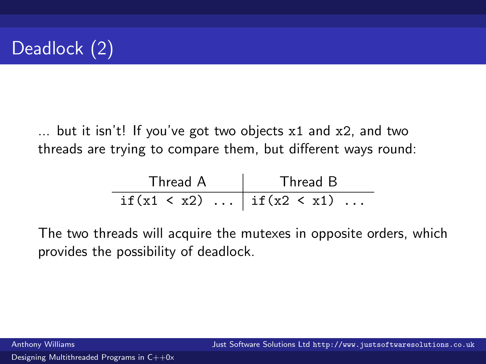

... but it isn't! If you've got two objects x1 and x2, and two threads are trying to compare them, but different ways round:

| Thread A                            | Thread B |
|-------------------------------------|----------|
| if $(x1 \le x2)$   if $(x2 \le x1)$ |          |

The two threads will acquire the mutexes in opposite orders, which provides the possibility of deadlock.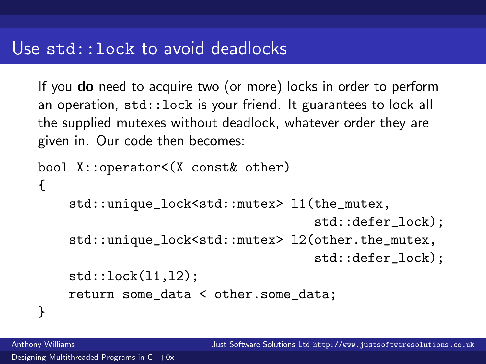If you **do** need to acquire two (or more) locks in order to perform an operation, std::lock is your friend. It guarantees to lock all the supplied mutexes without deadlock, whatever order they are given in. Our code then becomes:

```
bool X::operator<(X const& other)
{
    std::unique_lock<std::mutex> l1(the_mutex,
                                     std::defer_lock);
    std::unique_lock<std::mutex> l2(other.the_mutex,
                                     std::defer_lock);
    std::lock(l1,l2);
    return some_data < other.some_data;
}
```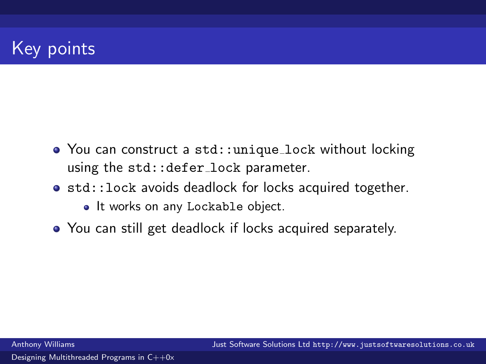# Key points

- You can construct a std:: unique lock without locking using the std:: defer\_lock parameter.
- std::lock avoids deadlock for locks acquired together.
	- It works on any Lockable object.
- You can still get deadlock if locks acquired separately.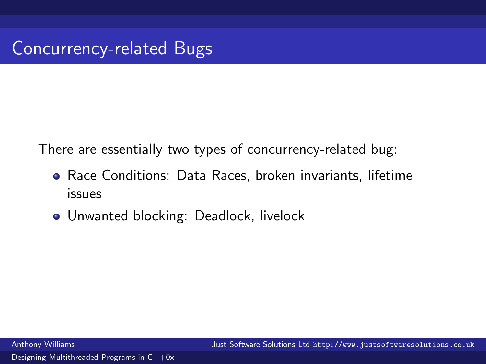There are essentially two types of concurrency-related bug:

- Race Conditions: Data Races, broken invariants, lifetime issues
- Unwanted blocking: Deadlock, livelock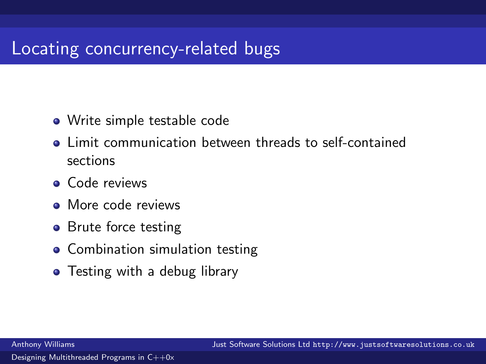## Locating concurrency-related bugs

- Write simple testable code
- Limit communication between threads to self-contained sections
- **Code reviews**
- More code reviews
- **•** Brute force testing
- Combination simulation testing
- Testing with a debug library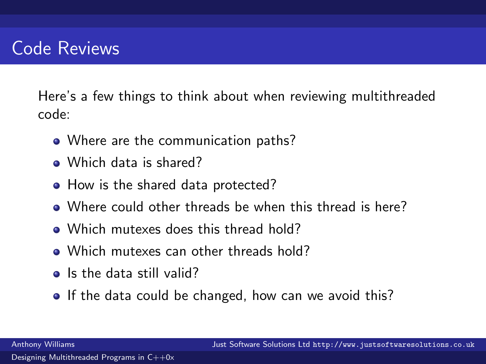### Code Reviews

Here's a few things to think about when reviewing multithreaded code:

- Where are the communication paths?
- Which data is shared?
- How is the shared data protected?
- Where could other threads be when this thread is here?
- Which mutexes does this thread hold?
- Which mutexes can other threads hold?
- Is the data still valid?
- If the data could be changed, how can we avoid this?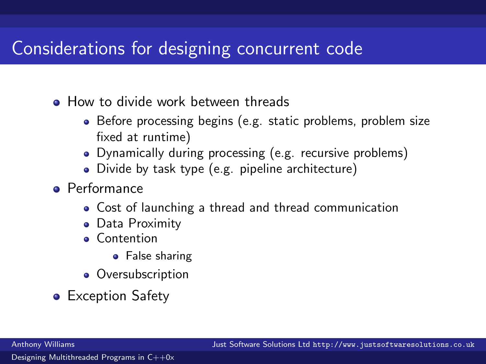### Considerations for designing concurrent code

- **How to divide work between threads** 
	- Before processing begins (e.g. static problems, problem size fixed at runtime)
	- Dynamically during processing (e.g. recursive problems)
	- Divide by task type (e.g. pipeline architecture)
- **•** Performance
	- Cost of launching a thread and thread communication
	- Data Proximity
	- **Contention** 
		- **•** False sharing
	- Oversubscription
- Exception Safety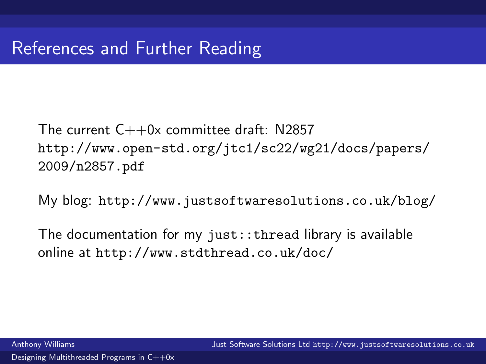The current  $C++0x$  committee draft: N2857 [http://www.open-std.org/jtc1/sc22/wg21/docs/papers/](http://www.open-std.org/jtc1/sc22/wg21/docs/papers/2009/n2857.pdf) [2009/n2857.pdf](http://www.open-std.org/jtc1/sc22/wg21/docs/papers/2009/n2857.pdf)

My blog: <http://www.justsoftwaresolutions.co.uk/blog/>

The documentation for my just::thread library is available online at <http://www.stdthread.co.uk/doc/>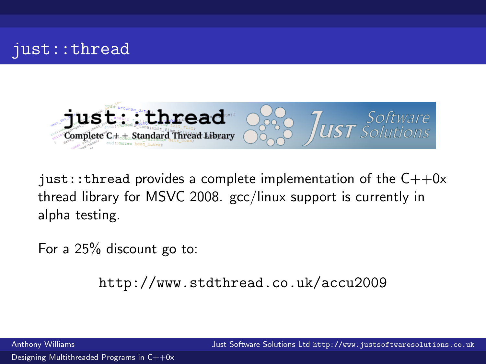



just::thread provides a complete implementation of the  $C++0x$ thread library for MSVC 2008. gcc/linux support is currently in alpha testing.

For a 25% discount go to:

<http://www.stdthread.co.uk/accu2009>